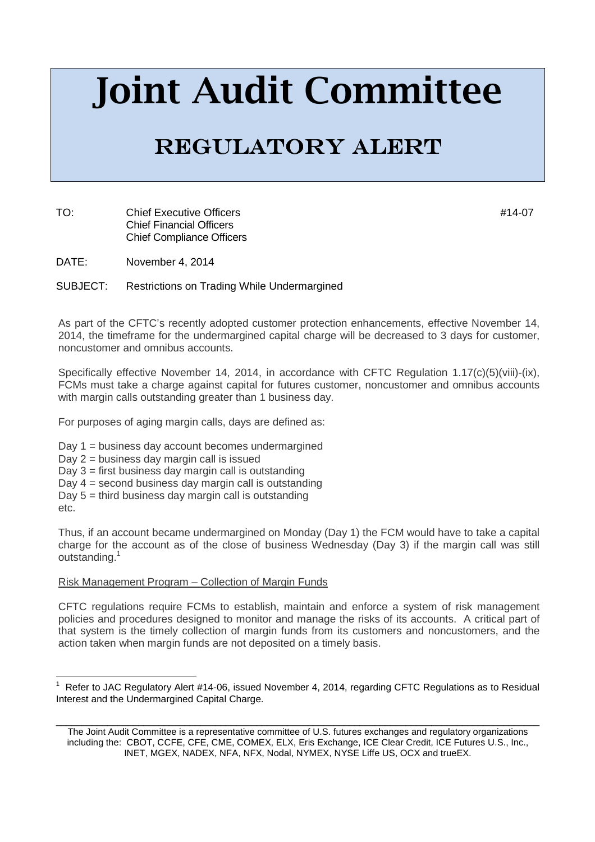# **Joint Audit Committee**

# REGULATORY ALERT

TO: Chief Executive Officers **According to the Chief Executive Officers** According to the Chief According to the M Chief Financial Officers Chief Compliance Officers

DATE: November 4, 2014

SUBJECT: Restrictions on Trading While Undermargined

As part of the CFTC's recently adopted customer protection enhancements, effective November 14, 2014, the timeframe for the undermargined capital charge will be decreased to 3 days for customer, noncustomer and omnibus accounts.

Specifically effective November 14, 2014, in accordance with CFTC Regulation 1.17(c)(5)(viii)-(ix), FCMs must take a charge against capital for futures customer, noncustomer and omnibus accounts with margin calls outstanding greater than 1 business day.

For purposes of aging margin calls, days are defined as:

Day 1 = business day account becomes undermargined

Day 2 = business day margin call is issued

Day 3 = first business day margin call is outstanding

Day 4 = second business day margin call is outstanding

Day 5 = third business day margin call is outstanding

etc.

l

Thus, if an account became undermargined on Monday (Day 1) the FCM would have to take a capital charge for the account as of the close of business Wednesday (Day 3) if the margin call was still outstanding.<sup>1</sup>

#### Risk Management Program – Collection of Margin Funds

CFTC regulations require FCMs to establish, maintain and enforce a system of risk management policies and procedures designed to monitor and manage the risks of its accounts. A critical part of that system is the timely collection of margin funds from its customers and noncustomers, and the action taken when margin funds are not deposited on a timely basis.

<sup>1</sup> Refer to JAC Regulatory Alert #14-06, issued November 4, 2014, regarding CFTC Regulations as to Residual Interest and the Undermargined Capital Charge.

\_\_\_\_\_\_\_\_\_\_\_\_\_\_\_\_\_\_\_\_\_\_\_\_\_\_\_\_\_\_\_\_\_\_\_\_\_\_\_\_\_\_\_\_\_\_\_\_\_\_\_\_\_\_\_\_\_\_\_\_\_\_\_\_\_\_\_\_\_\_\_\_\_\_\_\_\_\_\_\_\_\_\_\_\_\_\_\_\_\_\_\_\_\_ The Joint Audit Committee is a representative committee of U.S. futures exchanges and regulatory organizations including the: CBOT, CCFE, CFE, CME, COMEX, ELX, Eris Exchange, ICE Clear Credit, ICE Futures U.S., Inc., INET, MGEX, NADEX, NFA, NFX, Nodal, NYMEX, NYSE Liffe US, OCX and trueEX.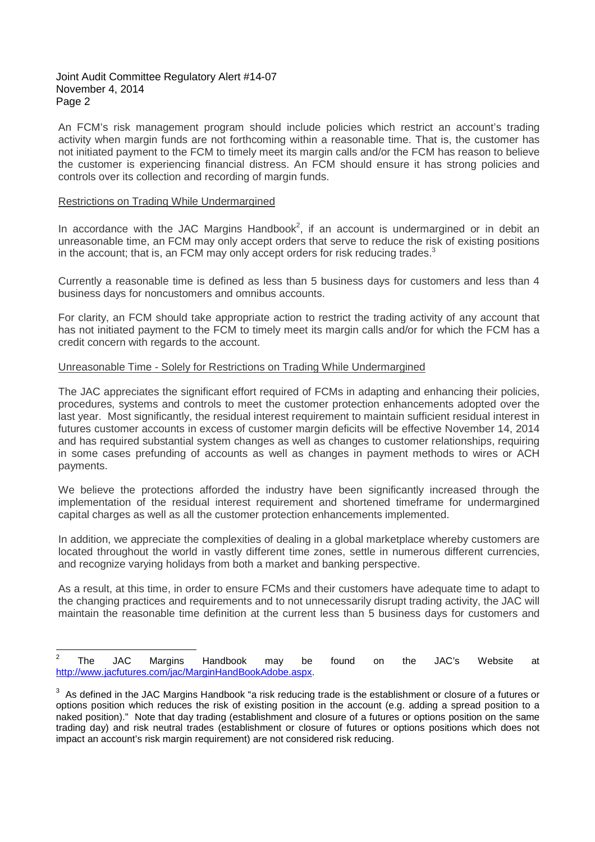#### Joint Audit Committee Regulatory Alert #14-07 November 4, 2014 Page 2

An FCM's risk management program should include policies which restrict an account's trading activity when margin funds are not forthcoming within a reasonable time. That is, the customer has not initiated payment to the FCM to timely meet its margin calls and/or the FCM has reason to believe the customer is experiencing financial distress. An FCM should ensure it has strong policies and controls over its collection and recording of margin funds.

### Restrictions on Trading While Undermargined

In accordance with the JAC Margins Handbook<sup>2</sup>, if an account is undermargined or in debit an unreasonable time, an FCM may only accept orders that serve to reduce the risk of existing positions in the account; that is, an FCM may only accept orders for risk reducing trades. $3$ 

Currently a reasonable time is defined as less than 5 business days for customers and less than 4 business days for noncustomers and omnibus accounts.

For clarity, an FCM should take appropriate action to restrict the trading activity of any account that has not initiated payment to the FCM to timely meet its margin calls and/or for which the FCM has a credit concern with regards to the account.

## Unreasonable Time - Solely for Restrictions on Trading While Undermargined

The JAC appreciates the significant effort required of FCMs in adapting and enhancing their policies, procedures, systems and controls to meet the customer protection enhancements adopted over the last year. Most significantly, the residual interest requirement to maintain sufficient residual interest in futures customer accounts in excess of customer margin deficits will be effective November 14, 2014 and has required substantial system changes as well as changes to customer relationships, requiring in some cases prefunding of accounts as well as changes in payment methods to wires or ACH payments.

We believe the protections afforded the industry have been significantly increased through the implementation of the residual interest requirement and shortened timeframe for undermargined capital charges as well as all the customer protection enhancements implemented.

In addition, we appreciate the complexities of dealing in a global marketplace whereby customers are located throughout the world in vastly different time zones, settle in numerous different currencies, and recognize varying holidays from both a market and banking perspective.

As a result, at this time, in order to ensure FCMs and their customers have adequate time to adapt to the changing practices and requirements and to not unnecessarily disrupt trading activity, the JAC will maintain the reasonable time definition at the current less than 5 business days for customers and

 $\frac{1}{2}$  The JAC Margins Handbook may be found on the JAC's Website at http://www.jacfutures.com/jac/MarginHandBookAdobe.aspx.

 $3$  As defined in the JAC Margins Handbook "a risk reducing trade is the establishment or closure of a futures or options position which reduces the risk of existing position in the account (e.g. adding a spread position to a naked position)." Note that day trading (establishment and closure of a futures or options position on the same trading day) and risk neutral trades (establishment or closure of futures or options positions which does not impact an account's risk margin requirement) are not considered risk reducing.